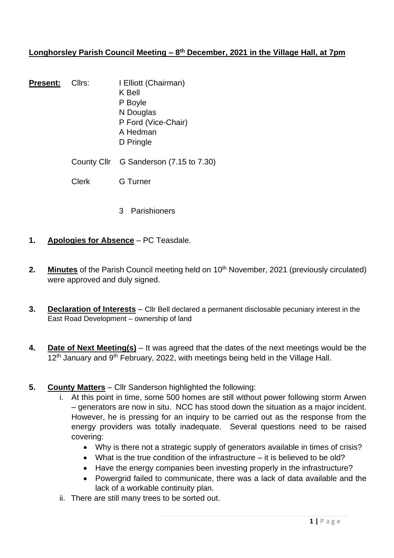## **Longhorsley Parish Council Meeting – 8 th December, 2021 in the Village Hall, at 7pm**

- **Present:** Cllrs: I Elliott (Chairman) K Bell P Boyle N Douglas P Ford (Vice-Chair) A Hedman D Pringle County Cllr G Sanderson (7.15 to 7.30)
	- Clerk G Turner
		- 3 Parishioners
- **1. Apologies for Absence** PC Teasdale.
- **2. Minutes** of the Parish Council meeting held on 10<sup>th</sup> November, 2021 (previously circulated) were approved and duly signed.
- **3. Declaration of Interests** Cllr Bell declared a permanent disclosable pecuniary interest in the East Road Development – ownership of land
- **4. Date of Next Meeting(s)** It was agreed that the dates of the next meetings would be the  $12<sup>th</sup>$  January and 9<sup>th</sup> February, 2022, with meetings being held in the Village Hall.
- **5. County Matters** Cllr Sanderson highlighted the following:
	- i. At this point in time, some 500 homes are still without power following storm Arwen – generators are now in situ. NCC has stood down the situation as a major incident. However, he is pressing for an inquiry to be carried out as the response from the energy providers was totally inadequate. Several questions need to be raised covering:
		- Why is there not a strategic supply of generators available in times of crisis?
		- What is the true condition of the infrastructure  $-$  it is believed to be old?
		- Have the energy companies been investing properly in the infrastructure?
		- Powergrid failed to communicate, there was a lack of data available and the lack of a workable continuity plan.
	- ii. There are still many trees to be sorted out.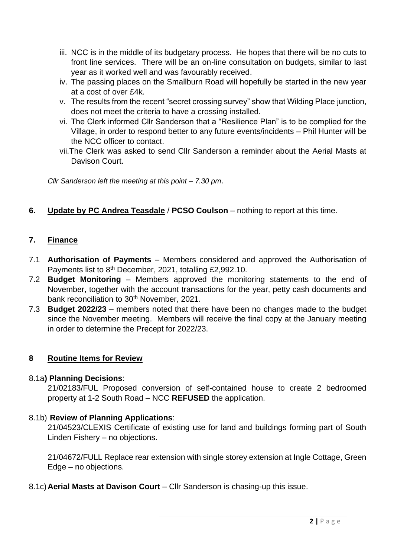- iii. NCC is in the middle of its budgetary process. He hopes that there will be no cuts to front line services. There will be an on-line consultation on budgets, similar to last year as it worked well and was favourably received.
- iv. The passing places on the Smallburn Road will hopefully be started in the new year at a cost of over £4k.
- v. The results from the recent "secret crossing survey" show that Wilding Place junction, does not meet the criteria to have a crossing installed.
- vi. The Clerk informed Cllr Sanderson that a "Resilience Plan" is to be complied for the Village, in order to respond better to any future events/incidents – Phil Hunter will be the NCC officer to contact.
- vii.The Clerk was asked to send Cllr Sanderson a reminder about the Aerial Masts at Davison Court.

*Cllr Sanderson left the meeting at this point – 7.30 pm*.

## **6. Update by PC Andrea Teasdale** / **PCSO Coulson** – nothing to report at this time.

## **7. Finance**

- 7.1 **Authorisation of Payments** Members considered and approved the Authorisation of Payments list to 8<sup>th</sup> December, 2021, totalling £2,992.10.
- 7.2 **Budget Monitoring** Members approved the monitoring statements to the end of November, together with the account transactions for the year, petty cash documents and bank reconciliation to 30<sup>th</sup> November, 2021.
- 7.3 **Budget 2022/23** members noted that there have been no changes made to the budget since the November meeting. Members will receive the final copy at the January meeting in order to determine the Precept for 2022/23.

## **8 Routine Items for Review**

### 8.1a**) Planning Decisions**:

21/02183/FUL Proposed conversion of self-contained house to create 2 bedroomed property at 1-2 South Road – NCC **REFUSED** the application.

### 8.1b) **Review of Planning Applications**:

21/04523/CLEXIS Certificate of existing use for land and buildings forming part of South Linden Fishery – no objections.

21/04672/FULL Replace rear extension with single storey extension at Ingle Cottage, Green Edge – no objections.

8.1c)**Aerial Masts at Davison Court** – Cllr Sanderson is chasing-up this issue.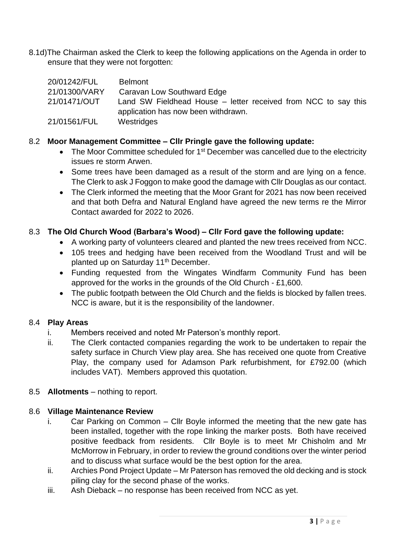8.1d)The Chairman asked the Clerk to keep the following applications on the Agenda in order to ensure that they were not forgotten:

| 20/01242/FUL  | <b>Belmont</b>                                                 |
|---------------|----------------------------------------------------------------|
| 21/01300/VARY | Caravan Low Southward Edge                                     |
| 21/01471/OUT  | Land SW Fieldhead House – letter received from NCC to say this |
|               | application has now been withdrawn.                            |
| 21/01561/FUL  | Westridges                                                     |

### 8.2 **Moor Management Committee – Cllr Pringle gave the following update:**

- The Moor Committee scheduled for  $1<sup>st</sup>$  December was cancelled due to the electricity issues re storm Arwen.
- Some trees have been damaged as a result of the storm and are lying on a fence. The Clerk to ask J Foggon to make good the damage with Cllr Douglas as our contact.
- The Clerk informed the meeting that the Moor Grant for 2021 has now been received and that both Defra and Natural England have agreed the new terms re the Mirror Contact awarded for 2022 to 2026.

### 8.3 **The Old Church Wood (Barbara's Wood) – Cllr Ford gave the following update:**

- A working party of volunteers cleared and planted the new trees received from NCC.
- 105 trees and hedging have been received from the Woodland Trust and will be planted up on Saturday 11<sup>th</sup> December.
- Funding requested from the Wingates Windfarm Community Fund has been approved for the works in the grounds of the Old Church - £1,600.
- The public footpath between the Old Church and the fields is blocked by fallen trees. NCC is aware, but it is the responsibility of the landowner.

### 8.4 **Play Areas**

- i. Members received and noted Mr Paterson's monthly report.
- ii. The Clerk contacted companies regarding the work to be undertaken to repair the safety surface in Church View play area. She has received one quote from Creative Play, the company used for Adamson Park refurbishment, for £792.00 (which includes VAT). Members approved this quotation.
- 8.5 **Allotments** nothing to report.

### 8.6 **Village Maintenance Review**

- i. Car Parking on Common Cllr Boyle informed the meeting that the new gate has been installed, together with the rope linking the marker posts. Both have received positive feedback from residents. Cllr Boyle is to meet Mr Chisholm and Mr McMorrow in February, in order to review the ground conditions over the winter period and to discuss what surface would be the best option for the area.
- ii. Archies Pond Project Update Mr Paterson has removed the old decking and is stock piling clay for the second phase of the works.
- iii. Ash Dieback no response has been received from NCC as yet.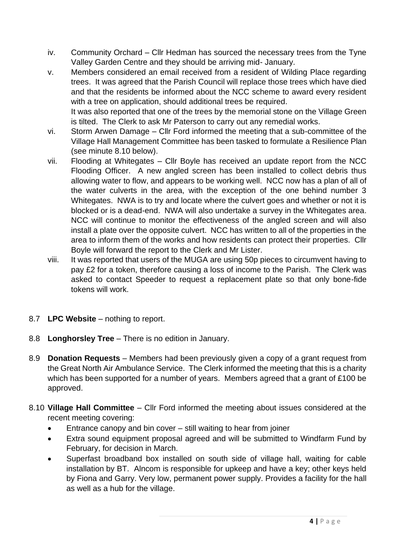- iv. Community Orchard Cllr Hedman has sourced the necessary trees from the Tyne Valley Garden Centre and they should be arriving mid- January.
- v. Members considered an email received from a resident of Wilding Place regarding trees. It was agreed that the Parish Council will replace those trees which have died and that the residents be informed about the NCC scheme to award every resident with a tree on application, should additional trees be required. It was also reported that one of the trees by the memorial stone on the Village Green

is tilted. The Clerk to ask Mr Paterson to carry out any remedial works.

- vi. Storm Arwen Damage Cllr Ford informed the meeting that a sub-committee of the Village Hall Management Committee has been tasked to formulate a Resilience Plan (see minute 8.10 below).
- vii. Flooding at Whitegates Cllr Boyle has received an update report from the NCC Flooding Officer. A new angled screen has been installed to collect debris thus allowing water to flow, and appears to be working well. NCC now has a plan of all of the water culverts in the area, with the exception of the one behind number 3 Whitegates. NWA is to try and locate where the culvert goes and whether or not it is blocked or is a dead-end. NWA will also undertake a survey in the Whitegates area. NCC will continue to monitor the effectiveness of the angled screen and will also install a plate over the opposite culvert. NCC has written to all of the properties in the area to inform them of the works and how residents can protect their properties. Cllr Boyle will forward the report to the Clerk and Mr Lister.
- viii. It was reported that users of the MUGA are using 50p pieces to circumvent having to pay £2 for a token, therefore causing a loss of income to the Parish. The Clerk was asked to contact Speeder to request a replacement plate so that only bone-fide tokens will work.
- 8.7 **LPC Website** nothing to report.
- 8.8 **Longhorsley Tree** There is no edition in January.
- 8.9 **Donation Requests** Members had been previously given a copy of a grant request from the Great North Air Ambulance Service. The Clerk informed the meeting that this is a charity which has been supported for a number of years. Members agreed that a grant of £100 be approved.
- 8.10 **Village Hall Committee** Cllr Ford informed the meeting about issues considered at the recent meeting covering:
	- Entrance canopy and bin cover still waiting to hear from joiner
	- Extra sound equipment proposal agreed and will be submitted to Windfarm Fund by February, for decision in March.
	- Superfast broadband box installed on south side of village hall, waiting for cable installation by BT. Alncom is responsible for upkeep and have a key; other keys held by Fiona and Garry. Very low, permanent power supply. Provides a facility for the hall as well as a hub for the village.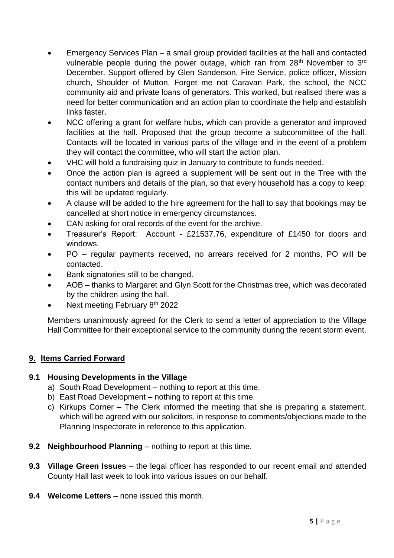- Emergency Services Plan a small group provided facilities at the hall and contacted vulnerable people during the power outage, which ran from 28<sup>th</sup> November to 3<sup>rd</sup> December. Support offered by Glen Sanderson, Fire Service, police officer, Mission church, Shoulder of Mutton, Forget me not Caravan Park, the school, the NCC community aid and private loans of generators. This worked, but realised there was a need for better communication and an action plan to coordinate the help and establish links faster.
- NCC offering a grant for welfare hubs, which can provide a generator and improved facilities at the hall. Proposed that the group become a subcommittee of the hall. Contacts will be located in various parts of the village and in the event of a problem they will contact the committee, who will start the action plan.
- VHC will hold a fundraising quiz in January to contribute to funds needed.
- Once the action plan is agreed a supplement will be sent out in the Tree with the contact numbers and details of the plan, so that every household has a copy to keep; this will be updated regularly.
- A clause will be added to the hire agreement for the hall to say that bookings may be cancelled at short notice in emergency circumstances.
- CAN asking for oral records of the event for the archive.
- Treasurer's Report: Account £21537.76, expenditure of £1450 for doors and windows.
- PO regular payments received, no arrears received for 2 months, PO will be contacted.
- Bank signatories still to be changed.
- AOB thanks to Margaret and Glyn Scott for the Christmas tree, which was decorated by the children using the hall.
- Next meeting February 8<sup>th</sup> 2022

Members unanimously agreed for the Clerk to send a letter of appreciation to the Village Hall Committee for their exceptional service to the community during the recent storm event.

## **9. Items Carried Forward**

## **9.1 Housing Developments in the Village**

- a) South Road Development nothing to report at this time.
- b) East Road Development nothing to report at this time.
- c) Kirkups Corner The Clerk informed the meeting that she is preparing a statement, which will be agreed with our solicitors, in response to comments/objections made to the Planning Inspectorate in reference to this application.
- **9.2 Neighbourhood Planning** nothing to report at this time.
- **9.3 Village Green Issues** the legal officer has responded to our recent email and attended County Hall last week to look into various issues on our behalf.
- **9.4 Welcome Letters** none issued this month.